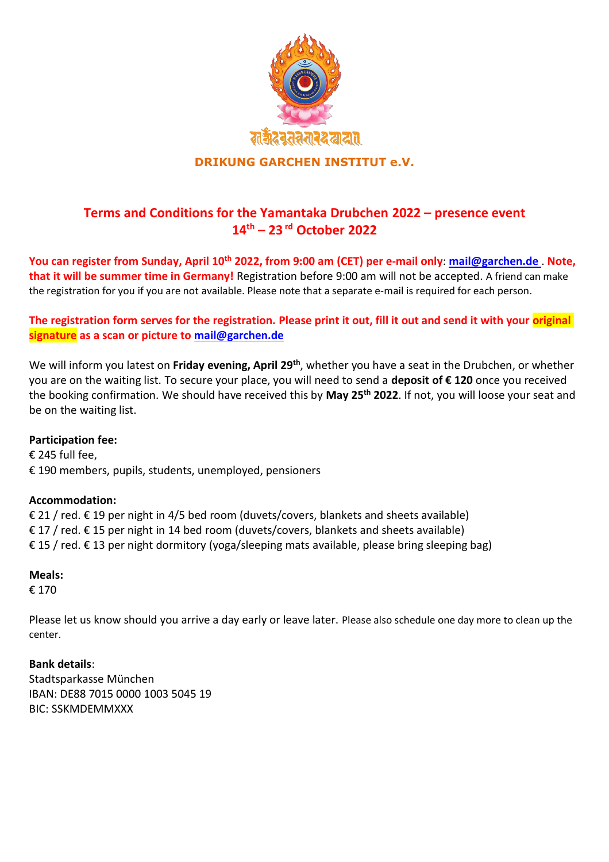

## **DRIKUNG GARCHEN INSTITUT e.V.**

# **Terms and Conditions for the Yamantaka Drubchen 2022 – presence event 14th – 23 rd October 2022**

**You can register from Sunday, April 10th 2022, from 9:00 am (CET) per e-mail only**: **[mail@garchen.de](mailto:yamantaka@garchen.de)** . **Note, that it will be summer time in Germany!** Registration before 9:00 am will not be accepted. A friend can make the registration for you if you are not available. Please note that a separate e-mail is required for each person.

## **The registration form serves for the registration. Please print it out, fill it out and send it with your original signature as a scan or picture to [mail@garchen.de](mailto:yamantaka@garchen.de)**

We will inform you latest on **Friday evening, April 29th**, whether you have a seat in the Drubchen, or whether you are on the waiting list. To secure your place, you will need to send a **deposit of € 120** once you received the booking confirmation. We should have received this by **May 25th 2022**. If not, you will loose your seat and be on the waiting list.

### **Participation fee:**

€ 245 full fee, € 190 members, pupils, students, unemployed, pensioners

### **Accommodation:**

€ 21 / red. € 19 per night in 4/5 bed room (duvets/covers, blankets and sheets available) € 17 / red.  $€$  15 per night in 14 bed room (duvets/covers, blankets and sheets available) € 15 / red. € 13 per night dormitory (yoga/sleeping mats available, please bring sleeping bag)

#### **Meals:**

€ 170

Please let us know should you arrive a day early or leave later. Please also schedule one day more to clean up the center.

### **Bank details**:

Stadtsparkasse München IBAN: DE88 7015 0000 1003 5045 19 BIC: SSKMDEMMXXX